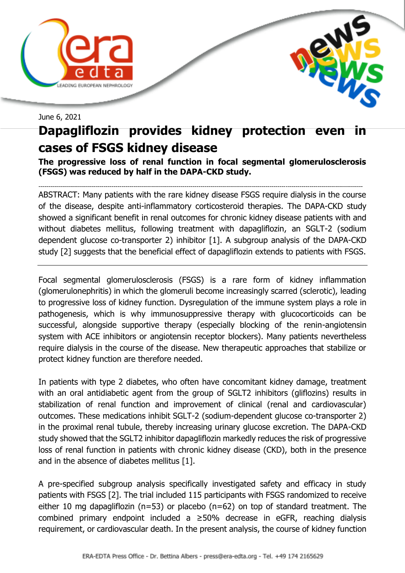



June 6, 2021

## **Dapagliflozin provides kidney protection even cases of FSGS kidney disease**

**The progressive loss of renal function in focal segmental glomerulosclerosis (FSGS) was reduced by half in the DAPA-CKD study.**

-------------------------------------------------------------------------------------------------------------------------------------------------------------------- ABSTRACT: Many patients with the rare kidney disease FSGS require dialysis in the course of the disease, despite anti-inflammatory corticosteroid therapies. The DAPA-CKD study showed a significant benefit in renal outcomes for chronic kidney disease patients with and without diabetes mellitus, following treatment with dapagliflozin, an SGLT-2 (sodium dependent glucose co-transporter 2) inhibitor [1]. A subgroup analysis of the DAPA-CKD study [2] suggests that the beneficial effect of dapagliflozin extends to patients with FSGS.

Focal segmental glomerulosclerosis (FSGS) is a rare form of kidney inflammation (glomerulonephritis) in which the glomeruli become increasingly scarred (sclerotic), leading to progressive loss of kidney function. Dysregulation of the immune system plays a role in pathogenesis, which is why immunosuppressive therapy with glucocorticoids can be successful, alongside supportive therapy (especially blocking of the renin-angiotensin system with ACE inhibitors or angiotensin receptor blockers). Many patients nevertheless require dialysis in the course of the disease. New therapeutic approaches that stabilize or protect kidney function are therefore needed.

In patients with type 2 diabetes, who often have concomitant kidney damage, treatment with an oral antidiabetic agent from the group of SGLT2 inhibitors (gliflozins) results in stabilization of renal function and improvement of clinical (renal and cardiovascular) outcomes. These medications inhibit SGLT-2 (sodium-dependent glucose co-transporter 2) in the proximal renal tubule, thereby increasing urinary glucose excretion. The DAPA-CKD study showed that the SGLT2 inhibitor dapagliflozin markedly reduces the risk of progressive loss of renal function in patients with chronic kidney disease (CKD), both in the presence and in the absence of diabetes mellitus [1].

A pre-specified subgroup analysis specifically investigated safety and efficacy in study patients with FSGS [2]. The trial included 115 participants with FSGS randomized to receive either 10 mg dapagliflozin (n=53) or placebo (n=62) on top of standard treatment. The combined primary endpoint included a  $\geq$ 50% decrease in eGFR, reaching dialysis requirement, or cardiovascular death. In the present analysis, the course of kidney function